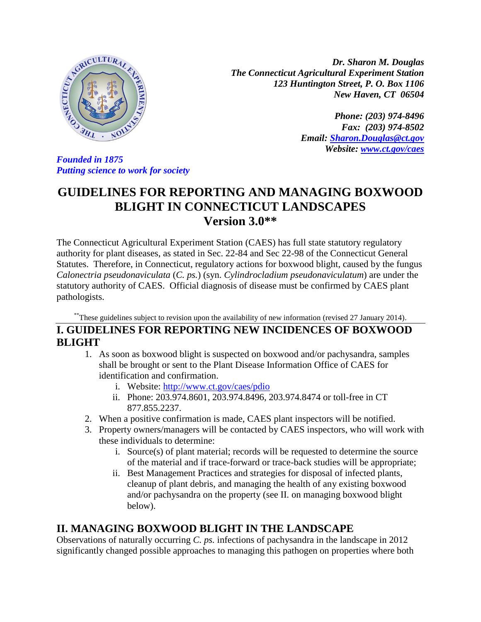

*Dr. Sharon M. Douglas The Connecticut Agricultural Experiment Station 123 Huntington Street, P. O. Box 1106 New Haven, CT 06504*

> *Phone: (203) 974-8496 Fax: (203) 974-8502 Email: [Sharon.Douglas@ct.gov](mailto:Sharon.Douglas@ct.gov) Website: [www.ct.gov/caes](http://www.ct.gov/caes)*

*Founded in 1875 Putting science to work for society*

# **GUIDELINES FOR REPORTING AND MANAGING BOXWOOD BLIGHT IN CONNECTICUT LANDSCAPES Version 3.0\*\***

The Connecticut Agricultural Experiment Station (CAES) has full state statutory regulatory authority for plant diseases, as stated in Sec. 22-84 and Sec 22-98 of the Connecticut General Statutes. Therefore, in Connecticut, regulatory actions for boxwood blight, caused by the fungus *Calonectria pseudonaviculata* (*C. ps.*) (syn. *Cylindrocladium pseudonaviculatum*) are under the statutory authority of CAES. Official diagnosis of disease must be confirmed by CAES plant pathologists.

\*\*These guidelines subject to revision upon the availability of new information (revised 27 January 2014).

## **I. GUIDELINES FOR REPORTING NEW INCIDENCES OF BOXWOOD BLIGHT**

- 1. As soon as boxwood blight is suspected on boxwood and/or pachysandra, samples shall be brought or sent to the Plant Disease Information Office of CAES for identification and confirmation.
	- i. Website:<http://www.ct.gov/caes/pdio>
	- ii. Phone: 203.974.8601, 203.974.8496, 203.974.8474 or toll-free in CT 877.855.2237.
- 2. When a positive confirmation is made, CAES plant inspectors will be notified.
- 3. Property owners/managers will be contacted by CAES inspectors, who will work with these individuals to determine:
	- i. Source(s) of plant material; records will be requested to determine the source of the material and if trace-forward or trace-back studies will be appropriate;
	- ii. Best Management Practices and strategies for disposal of infected plants, cleanup of plant debris, and managing the health of any existing boxwood and/or pachysandra on the property (see II. on managing boxwood blight below).

# **II. MANAGING BOXWOOD BLIGHT IN THE LANDSCAPE**

Observations of naturally occurring *C. ps.* infections of pachysandra in the landscape in 2012 significantly changed possible approaches to managing this pathogen on properties where both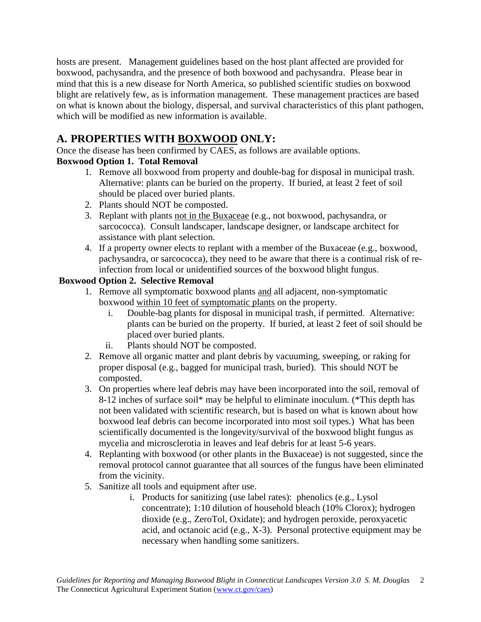hosts are present. Management guidelines based on the host plant affected are provided for boxwood, pachysandra, and the presence of both boxwood and pachysandra. Please bear in mind that this is a new disease for North America, so published scientific studies on boxwood blight are relatively few, as is information management. These management practices are based on what is known about the biology, dispersal, and survival characteristics of this plant pathogen, which will be modified as new information is available.

# **A. PROPERTIES WITH BOXWOOD ONLY:**

Once the disease has been confirmed by CAES, as follows are available options.

### **Boxwood Option 1. Total Removal**

- 1. Remove all boxwood from property and double-bag for disposal in municipal trash. Alternative: plants can be buried on the property. If buried, at least 2 feet of soil should be placed over buried plants.
- 2. Plants should NOT be composted.
- 3. Replant with plants not in the Buxaceae (e.g., not boxwood, pachysandra, or sarcococca). Consult landscaper, landscape designer, or landscape architect for assistance with plant selection.
- 4. If a property owner elects to replant with a member of the Buxaceae (e.g., boxwood, pachysandra, or sarcococca), they need to be aware that there is a continual risk of reinfection from local or unidentified sources of the boxwood blight fungus.

### **Boxwood Option 2. Selective Removal**

- 1. Remove all symptomatic boxwood plants and all adjacent, non-symptomatic boxwood within 10 feet of symptomatic plants on the property.
	- i. Double-bag plants for disposal in municipal trash, if permitted. Alternative: plants can be buried on the property. If buried, at least 2 feet of soil should be placed over buried plants.
	- ii. Plants should NOT be composted.
- 2. Remove all organic matter and plant debris by vacuuming, sweeping, or raking for proper disposal (e.g., bagged for municipal trash, buried). This should NOT be composted.
- 3. On properties where leaf debris may have been incorporated into the soil, removal of 8-12 inches of surface soil\* may be helpful to eliminate inoculum. (\*This depth has not been validated with scientific research, but is based on what is known about how boxwood leaf debris can become incorporated into most soil types.) What has been scientifically documented is the longevity/survival of the boxwood blight fungus as mycelia and microsclerotia in leaves and leaf debris for at least 5-6 years.
- 4. Replanting with boxwood (or other plants in the Buxaceae) is not suggested, since the removal protocol cannot guarantee that all sources of the fungus have been eliminated from the vicinity.
- 5. Sanitize all tools and equipment after use.
	- i. Products for sanitizing (use label rates): phenolics (e.g., Lysol concentrate); 1:10 dilution of household bleach (10% Clorox); hydrogen dioxide (e.g., ZeroTol, Oxidate); and hydrogen peroxide, peroxyacetic acid, and octanoic acid (e.g., X-3). Personal protective equipment may be necessary when handling some sanitizers.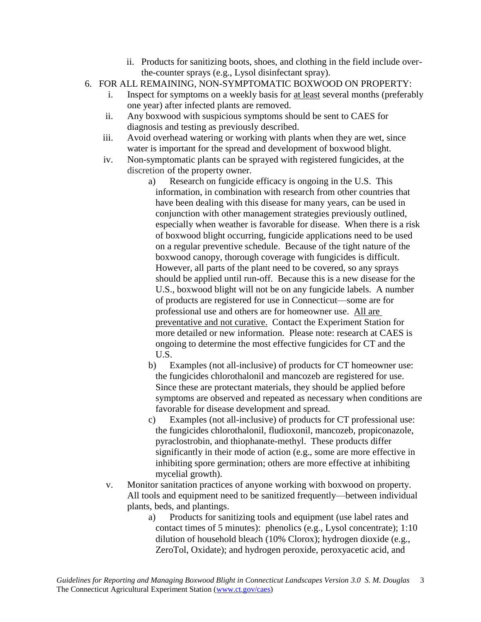- ii. Products for sanitizing boots, shoes, and clothing in the field include overthe-counter sprays (e.g., Lysol disinfectant spray).
- 6. FOR ALL REMAINING, NON-SYMPTOMATIC BOXWOOD ON PROPERTY:
	- i. Inspect for symptoms on a weekly basis for at least several months (preferably one year) after infected plants are removed.
	- ii. Any boxwood with suspicious symptoms should be sent to CAES for diagnosis and testing as previously described.
	- iii. Avoid overhead watering or working with plants when they are wet, since water is important for the spread and development of boxwood blight.
	- iv. Non-symptomatic plants can be sprayed with registered fungicides, at the discretion of the property owner.
		- a) Research on fungicide efficacy is ongoing in the U.S. This information, in combination with research from other countries that have been dealing with this disease for many years, can be used in conjunction with other management strategies previously outlined, especially when weather is favorable for disease. When there is a risk of boxwood blight occurring, fungicide applications need to be used on a regular preventive schedule. Because of the tight nature of the boxwood canopy, thorough coverage with fungicides is difficult. However, all parts of the plant need to be covered, so any sprays should be applied until run-off. Because this is a new disease for the U.S., boxwood blight will not be on any fungicide labels. A number of products are registered for use in Connecticut—some are for professional use and others are for homeowner use. All are preventative and not curative. Contact the Experiment Station for more detailed or new information. Please note: research at CAES is ongoing to determine the most effective fungicides for CT and the U.S.
		- b) Examples (not all-inclusive) of products for CT homeowner use: the fungicides chlorothalonil and mancozeb are registered for use. Since these are protectant materials, they should be applied before symptoms are observed and repeated as necessary when conditions are favorable for disease development and spread.
		- c) Examples (not all-inclusive) of products for CT professional use: the fungicides chlorothalonil, fludioxonil, mancozeb, propiconazole, pyraclostrobin, and thiophanate-methyl. These products differ significantly in their mode of action (e.g., some are more effective in inhibiting spore germination; others are more effective at inhibiting mycelial growth).
	- v. Monitor sanitation practices of anyone working with boxwood on property. All tools and equipment need to be sanitized frequently—between individual plants, beds, and plantings.
		- a) Products for sanitizing tools and equipment (use label rates and contact times of 5 minutes): phenolics (e.g., Lysol concentrate); 1:10 dilution of household bleach (10% Clorox); hydrogen dioxide (e.g., ZeroTol, Oxidate); and hydrogen peroxide, peroxyacetic acid, and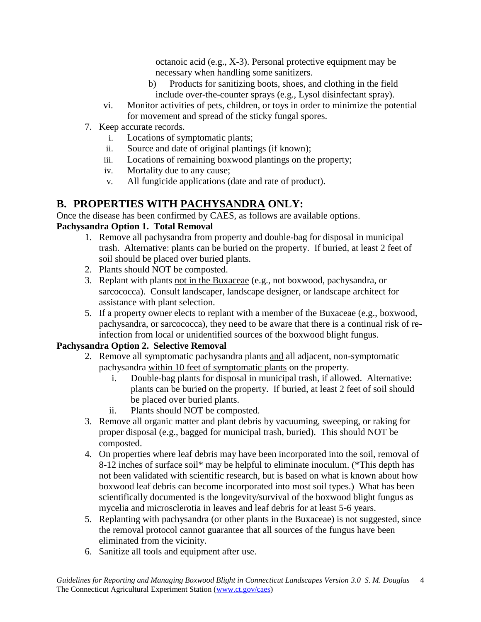octanoic acid (e.g., X-3). Personal protective equipment may be necessary when handling some sanitizers.

- b) Products for sanitizing boots, shoes, and clothing in the field include over-the-counter sprays (e.g., Lysol disinfectant spray).
- vi. Monitor activities of pets, children, or toys in order to minimize the potential for movement and spread of the sticky fungal spores.
- 7. Keep accurate records.
	- i. Locations of symptomatic plants;
	- ii. Source and date of original plantings (if known);
	- iii. Locations of remaining boxwood plantings on the property;
	- iv. Mortality due to any cause;
	- v. All fungicide applications (date and rate of product).

# **B. PROPERTIES WITH PACHYSANDRA ONLY:**

Once the disease has been confirmed by CAES, as follows are available options.

### **Pachysandra Option 1. Total Removal**

- 1. Remove all pachysandra from property and double-bag for disposal in municipal trash. Alternative: plants can be buried on the property. If buried, at least 2 feet of soil should be placed over buried plants.
- 2. Plants should NOT be composted.
- 3. Replant with plants not in the Buxaceae (e.g., not boxwood, pachysandra, or sarcococca). Consult landscaper, landscape designer, or landscape architect for assistance with plant selection.
- 5. If a property owner elects to replant with a member of the Buxaceae (e.g., boxwood, pachysandra, or sarcococca), they need to be aware that there is a continual risk of reinfection from local or unidentified sources of the boxwood blight fungus.

### **Pachysandra Option 2. Selective Removal**

- 2. Remove all symptomatic pachysandra plants and all adjacent, non-symptomatic pachysandra within 10 feet of symptomatic plants on the property.
	- i. Double-bag plants for disposal in municipal trash, if allowed. Alternative: plants can be buried on the property. If buried, at least 2 feet of soil should be placed over buried plants.
	- ii. Plants should NOT be composted.
- 3. Remove all organic matter and plant debris by vacuuming, sweeping, or raking for proper disposal (e.g., bagged for municipal trash, buried). This should NOT be composted.
- 4. On properties where leaf debris may have been incorporated into the soil, removal of 8-12 inches of surface soil\* may be helpful to eliminate inoculum. (\*This depth has not been validated with scientific research, but is based on what is known about how boxwood leaf debris can become incorporated into most soil types.) What has been scientifically documented is the longevity/survival of the boxwood blight fungus as mycelia and microsclerotia in leaves and leaf debris for at least 5-6 years.
- 5. Replanting with pachysandra (or other plants in the Buxaceae) is not suggested, since the removal protocol cannot guarantee that all sources of the fungus have been eliminated from the vicinity.
- 6. Sanitize all tools and equipment after use.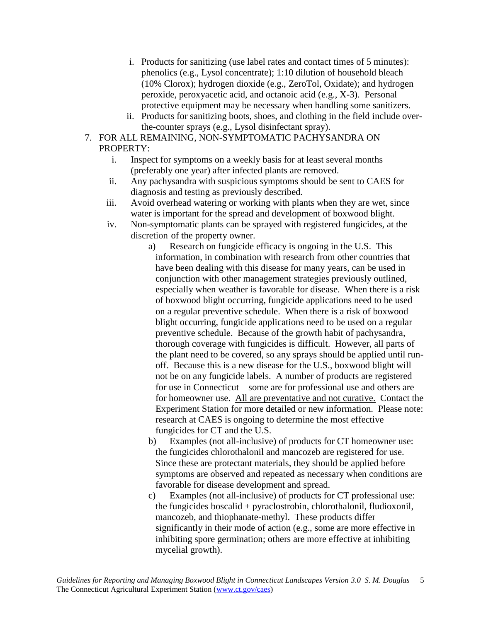- i. Products for sanitizing (use label rates and contact times of 5 minutes): phenolics (e.g., Lysol concentrate); 1:10 dilution of household bleach (10% Clorox); hydrogen dioxide (e.g., ZeroTol, Oxidate); and hydrogen peroxide, peroxyacetic acid, and octanoic acid (e.g., X-3). Personal protective equipment may be necessary when handling some sanitizers.
- ii. Products for sanitizing boots, shoes, and clothing in the field include overthe-counter sprays (e.g., Lysol disinfectant spray).
- 7. FOR ALL REMAINING, NON-SYMPTOMATIC PACHYSANDRA ON PROPERTY:
	- i. Inspect for symptoms on a weekly basis for at least several months (preferably one year) after infected plants are removed.
	- ii. Any pachysandra with suspicious symptoms should be sent to CAES for diagnosis and testing as previously described.
	- iii. Avoid overhead watering or working with plants when they are wet, since water is important for the spread and development of boxwood blight.
	- iv. Non-symptomatic plants can be sprayed with registered fungicides, at the discretion of the property owner.
		- a) Research on fungicide efficacy is ongoing in the U.S. This information, in combination with research from other countries that have been dealing with this disease for many years, can be used in conjunction with other management strategies previously outlined, especially when weather is favorable for disease. When there is a risk of boxwood blight occurring, fungicide applications need to be used on a regular preventive schedule. When there is a risk of boxwood blight occurring, fungicide applications need to be used on a regular preventive schedule. Because of the growth habit of pachysandra, thorough coverage with fungicides is difficult. However, all parts of the plant need to be covered, so any sprays should be applied until runoff. Because this is a new disease for the U.S., boxwood blight will not be on any fungicide labels. A number of products are registered for use in Connecticut—some are for professional use and others are for homeowner use. All are preventative and not curative. Contact the Experiment Station for more detailed or new information. Please note: research at CAES is ongoing to determine the most effective fungicides for CT and the U.S.
		- b) Examples (not all-inclusive) of products for CT homeowner use: the fungicides chlorothalonil and mancozeb are registered for use. Since these are protectant materials, they should be applied before symptoms are observed and repeated as necessary when conditions are favorable for disease development and spread.
		- c) Examples (not all-inclusive) of products for CT professional use: the fungicides boscalid + pyraclostrobin, chlorothalonil, fludioxonil, mancozeb, and thiophanate-methyl. These products differ significantly in their mode of action (e.g., some are more effective in inhibiting spore germination; others are more effective at inhibiting mycelial growth).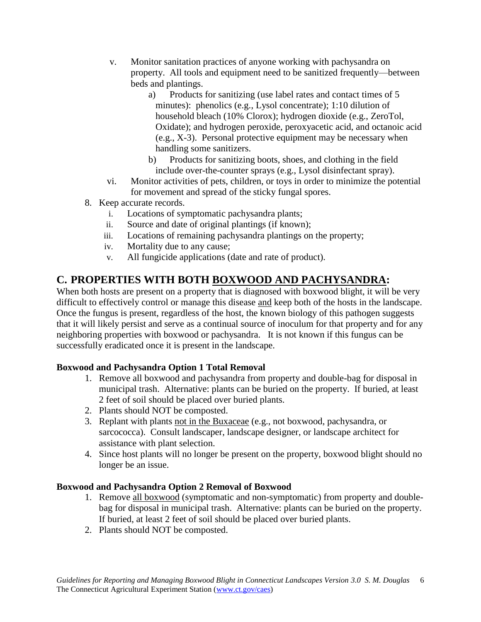- v. Monitor sanitation practices of anyone working with pachysandra on property. All tools and equipment need to be sanitized frequently—between beds and plantings.
	- a) Products for sanitizing (use label rates and contact times of 5 minutes): phenolics (e.g., Lysol concentrate); 1:10 dilution of household bleach (10% Clorox); hydrogen dioxide (e.g., ZeroTol, Oxidate); and hydrogen peroxide, peroxyacetic acid, and octanoic acid (e.g., X-3). Personal protective equipment may be necessary when handling some sanitizers.
	- b) Products for sanitizing boots, shoes, and clothing in the field include over-the-counter sprays (e.g., Lysol disinfectant spray).
- vi. Monitor activities of pets, children, or toys in order to minimize the potential for movement and spread of the sticky fungal spores.
- 8. Keep accurate records.
	- i. Locations of symptomatic pachysandra plants;
	- ii. Source and date of original plantings (if known);
	- iii. Locations of remaining pachysandra plantings on the property;
	- iv. Mortality due to any cause;
	- v. All fungicide applications (date and rate of product).

## **C. PROPERTIES WITH BOTH BOXWOOD AND PACHYSANDRA:**

When both hosts are present on a property that is diagnosed with boxwood blight, it will be very difficult to effectively control or manage this disease and keep both of the hosts in the landscape. Once the fungus is present, regardless of the host, the known biology of this pathogen suggests that it will likely persist and serve as a continual source of inoculum for that property and for any neighboring properties with boxwood or pachysandra. It is not known if this fungus can be successfully eradicated once it is present in the landscape.

#### **Boxwood and Pachysandra Option 1 Total Removal**

- 1. Remove all boxwood and pachysandra from property and double-bag for disposal in municipal trash. Alternative: plants can be buried on the property. If buried, at least 2 feet of soil should be placed over buried plants.
- 2. Plants should NOT be composted.
- 3. Replant with plants not in the Buxaceae (e.g., not boxwood, pachysandra, or sarcococca). Consult landscaper, landscape designer, or landscape architect for assistance with plant selection.
- 4. Since host plants will no longer be present on the property, boxwood blight should no longer be an issue.

#### **Boxwood and Pachysandra Option 2 Removal of Boxwood**

- 1. Remove all boxwood (symptomatic and non-symptomatic) from property and doublebag for disposal in municipal trash. Alternative: plants can be buried on the property. If buried, at least 2 feet of soil should be placed over buried plants.
- 2. Plants should NOT be composted.